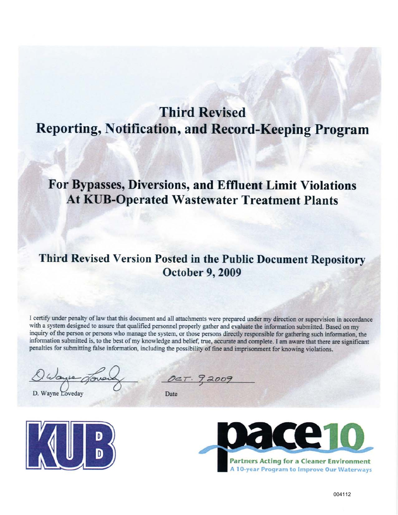# **Third Revised** Reporting, Notification, and Record-Keeping Program

# For Bypasses, Diversions, and Effluent Limit Violations **At KUB-Operated Wastewater Treatment Plants**

## Third Revised Version Posted in the Public Document Repository October 9, 2009

I certify under penalty of law that this document and all attachments were prepared under my direction or supervision in accordance with a system designed to assure that qualified personnel properly gather and evaluate the information submitted. Based on my inquiry of the person or persons who manage the system, or those persons directly responsible for gathering such information, the information submitted is, to the best of my knowledge and belief, true, accurate and complete. I am aware that there are significant penalties for submitting false information, including the possibility of fine and imprisonment for knowing violations.

D. Wayne Loveday

DCT. 92009

Date



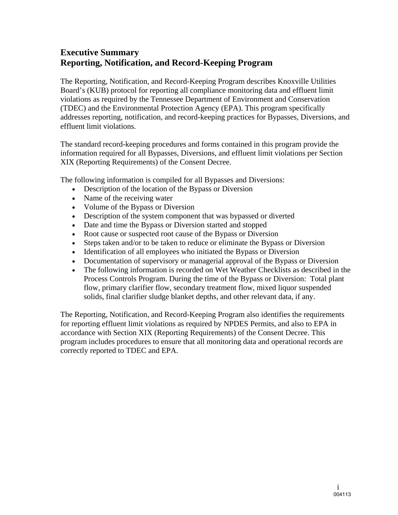## **Executive Summary Reporting, Notification, and Record-Keeping Program**

The Reporting, Notification, and Record-Keeping Program describes Knoxville Utilities Board's (KUB) protocol for reporting all compliance monitoring data and effluent limit violations as required by the Tennessee Department of Environment and Conservation (TDEC) and the Environmental Protection Agency (EPA). This program specifically addresses reporting, notification, and record-keeping practices for Bypasses, Diversions, and effluent limit violations.

The standard record-keeping procedures and forms contained in this program provide the information required for all Bypasses, Diversions, and effluent limit violations per Section XIX (Reporting Requirements) of the Consent Decree.

The following information is compiled for all Bypasses and Diversions:

- Description of the location of the Bypass or Diversion
- Name of the receiving water
- Volume of the Bypass or Diversion
- Description of the system component that was bypassed or diverted
- Date and time the Bypass or Diversion started and stopped
- Root cause or suspected root cause of the Bypass or Diversion
- Steps taken and/or to be taken to reduce or eliminate the Bypass or Diversion
- Identification of all employees who initiated the Bypass or Diversion
- Documentation of supervisory or managerial approval of the Bypass or Diversion
- The following information is recorded on Wet Weather Checklists as described in the Process Controls Program. During the time of the Bypass or Diversion: Total plant flow, primary clarifier flow, secondary treatment flow, mixed liquor suspended solids, final clarifier sludge blanket depths, and other relevant data, if any.

The Reporting, Notification, and Record-Keeping Program also identifies the requirements for reporting effluent limit violations as required by NPDES Permits, and also to EPA in accordance with Section XIX (Reporting Requirements) of the Consent Decree. This program includes procedures to ensure that all monitoring data and operational records are correctly reported to TDEC and EPA.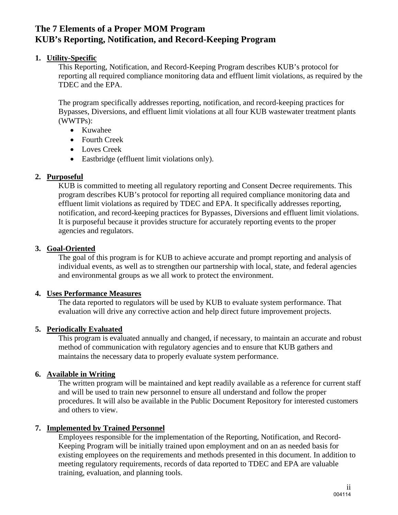## **The 7 Elements of a Proper MOM Program KUB's Reporting, Notification, and Record-Keeping Program**

#### **1. Utility-Specific**

This Reporting, Notification, and Record-Keeping Program describes KUB's protocol for reporting all required compliance monitoring data and effluent limit violations, as required by the TDEC and the EPA.

The program specifically addresses reporting, notification, and record-keeping practices for Bypasses, Diversions, and effluent limit violations at all four KUB wastewater treatment plants (WWTPs):

- Kuwahee
- Fourth Creek
- Loves Creek
- Eastbridge (effluent limit violations only).

#### **2. Purposeful**

KUB is committed to meeting all regulatory reporting and Consent Decree requirements. This program describes KUB's protocol for reporting all required compliance monitoring data and effluent limit violations as required by TDEC and EPA. It specifically addresses reporting, notification, and record-keeping practices for Bypasses, Diversions and effluent limit violations. It is purposeful because it provides structure for accurately reporting events to the proper agencies and regulators.

#### **3. Goal-Oriented**

The goal of this program is for KUB to achieve accurate and prompt reporting and analysis of individual events, as well as to strengthen our partnership with local, state, and federal agencies and environmental groups as we all work to protect the environment.

#### **4. Uses Performance Measures**

The data reported to regulators will be used by KUB to evaluate system performance. That evaluation will drive any corrective action and help direct future improvement projects.

#### **5. Periodically Evaluated**

This program is evaluated annually and changed, if necessary, to maintain an accurate and robust method of communication with regulatory agencies and to ensure that KUB gathers and maintains the necessary data to properly evaluate system performance.

#### **6. Available in Writing**

The written program will be maintained and kept readily available as a reference for current staff and will be used to train new personnel to ensure all understand and follow the proper procedures. It will also be available in the Public Document Repository for interested customers and others to view.

#### **7. Implemented by Trained Personnel**

Employees responsible for the implementation of the Reporting, Notification, and Record-Keeping Program will be initially trained upon employment and on an as needed basis for existing employees on the requirements and methods presented in this document. In addition to meeting regulatory requirements, records of data reported to TDEC and EPA are valuable training, evaluation, and planning tools.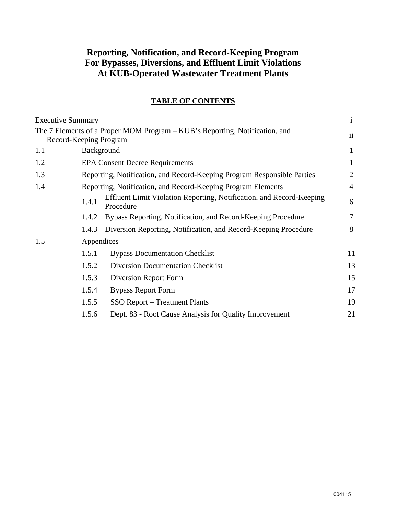## **Reporting, Notification, and Record-Keeping Program For Bypasses, Diversions, and Effluent Limit Violations At KUB-Operated Wastewater Treatment Plants**

#### **TABLE OF CONTENTS**

| <b>Executive Summary</b> |                                                              |                                                                                   | $\mathbf{i}$  |  |  |  |
|--------------------------|--------------------------------------------------------------|-----------------------------------------------------------------------------------|---------------|--|--|--|
|                          | Record-Keeping Program                                       | The 7 Elements of a Proper MOM Program – KUB's Reporting, Notification, and       | $\mathbf{ii}$ |  |  |  |
| 1.1                      |                                                              | Background                                                                        |               |  |  |  |
| 1.2                      |                                                              | <b>EPA Consent Decree Requirements</b>                                            | 1             |  |  |  |
| 1.3                      |                                                              | Reporting, Notification, and Record-Keeping Program Responsible Parties           | 2             |  |  |  |
| 1.4                      | Reporting, Notification, and Record-Keeping Program Elements |                                                                                   |               |  |  |  |
|                          | 1.4.1                                                        | Effluent Limit Violation Reporting, Notification, and Record-Keeping<br>Procedure | 6             |  |  |  |
|                          | 1.4.2                                                        | Bypass Reporting, Notification, and Record-Keeping Procedure                      | $\tau$        |  |  |  |
|                          | 1.4.3                                                        | Diversion Reporting, Notification, and Record-Keeping Procedure                   | 8             |  |  |  |
| 1.5                      | Appendices                                                   |                                                                                   |               |  |  |  |
|                          | 1.5.1                                                        | <b>Bypass Documentation Checklist</b>                                             | 11            |  |  |  |
|                          | 1.5.2                                                        | <b>Diversion Documentation Checklist</b>                                          | 13            |  |  |  |
|                          | 1.5.3                                                        | Diversion Report Form                                                             | 15            |  |  |  |
|                          | 1.5.4                                                        | <b>Bypass Report Form</b>                                                         | 17            |  |  |  |
|                          | 1.5.5                                                        | <b>SSO Report – Treatment Plants</b>                                              | 19            |  |  |  |
|                          | 1.5.6                                                        | Dept. 83 - Root Cause Analysis for Quality Improvement                            | 21            |  |  |  |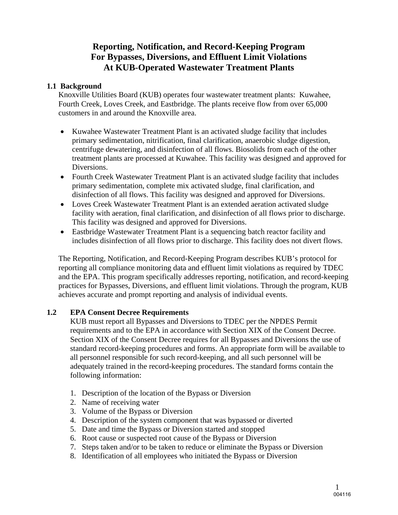## **Reporting, Notification, and Record-Keeping Program For Bypasses, Diversions, and Effluent Limit Violations At KUB-Operated Wastewater Treatment Plants**

#### **1.1 Background**

Knoxville Utilities Board (KUB) operates four wastewater treatment plants: Kuwahee, Fourth Creek, Loves Creek, and Eastbridge. The plants receive flow from over 65,000 customers in and around the Knoxville area.

- Kuwahee Wastewater Treatment Plant is an activated sludge facility that includes primary sedimentation, nitrification, final clarification, anaerobic sludge digestion, centrifuge dewatering, and disinfection of all flows. Biosolids from each of the other treatment plants are processed at Kuwahee. This facility was designed and approved for Diversions.
- Fourth Creek Wastewater Treatment Plant is an activated sludge facility that includes primary sedimentation, complete mix activated sludge, final clarification, and disinfection of all flows. This facility was designed and approved for Diversions.
- Loves Creek Wastewater Treatment Plant is an extended aeration activated sludge facility with aeration, final clarification, and disinfection of all flows prior to discharge. This facility was designed and approved for Diversions.
- Eastbridge Wastewater Treatment Plant is a sequencing batch reactor facility and includes disinfection of all flows prior to discharge. This facility does not divert flows.

The Reporting, Notification, and Record-Keeping Program describes KUB's protocol for reporting all compliance monitoring data and effluent limit violations as required by TDEC and the EPA. This program specifically addresses reporting, notification, and record-keeping practices for Bypasses, Diversions, and effluent limit violations. Through the program, KUB achieves accurate and prompt reporting and analysis of individual events.

#### **1.2 EPA Consent Decree Requirements**

KUB must report all Bypasses and Diversions to TDEC per the NPDES Permit requirements and to the EPA in accordance with Section XIX of the Consent Decree. Section XIX of the Consent Decree requires for all Bypasses and Diversions the use of standard record-keeping procedures and forms. An appropriate form will be available to all personnel responsible for such record-keeping, and all such personnel will be adequately trained in the record-keeping procedures. The standard forms contain the following information:

- 1. Description of the location of the Bypass or Diversion
- 2. Name of receiving water
- 3. Volume of the Bypass or Diversion
- 4. Description of the system component that was bypassed or diverted
- 5. Date and time the Bypass or Diversion started and stopped
- 6. Root cause or suspected root cause of the Bypass or Diversion
- 7. Steps taken and/or to be taken to reduce or eliminate the Bypass or Diversion
- 8. Identification of all employees who initiated the Bypass or Diversion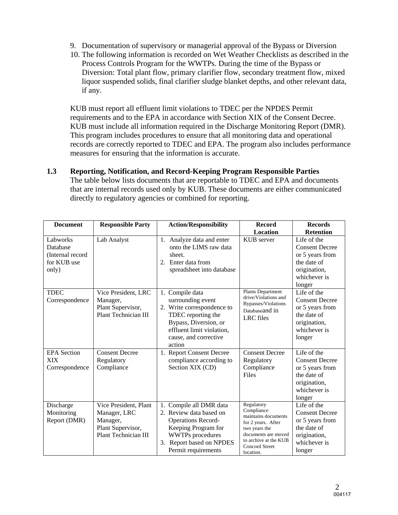- 9. Documentation of supervisory or managerial approval of the Bypass or Diversion
- 10. The following information is recorded on Wet Weather Checklists as described in the Process Controls Program for the WWTPs. During the time of the Bypass or Diversion: Total plant flow, primary clarifier flow, secondary treatment flow, mixed liquor suspended solids, final clarifier sludge blanket depths, and other relevant data, if any.

KUB must report all effluent limit violations to TDEC per the NPDES Permit requirements and to the EPA in accordance with Section XIX of the Consent Decree. KUB must include all information required in the Discharge Monitoring Report (DMR). This program includes procedures to ensure that all monitoring data and operational records are correctly reported to TDEC and EPA. The program also includes performance measures for ensuring that the information is accurate.

**1.3 Reporting, Notification, and Record-Keeping Program Responsible Parties**  The table below lists documents that are reportable to TDEC and EPA and documents that are internal records used only by KUB. These documents are either communicated directly to regulatory agencies or combined for reporting.

| <b>Document</b>                                                  | <b>Responsible Party</b>                                                                       | <b>Action/Responsibility</b>                                                                                                                                                         | <b>Record</b>                                                                                                                                                                | <b>Records</b>                                                                                                   |
|------------------------------------------------------------------|------------------------------------------------------------------------------------------------|--------------------------------------------------------------------------------------------------------------------------------------------------------------------------------------|------------------------------------------------------------------------------------------------------------------------------------------------------------------------------|------------------------------------------------------------------------------------------------------------------|
|                                                                  |                                                                                                |                                                                                                                                                                                      | Location                                                                                                                                                                     | <b>Retention</b>                                                                                                 |
| Labworks<br>Database<br>(Internal record<br>for KUB use<br>only) | Lab Analyst                                                                                    | 1. Analyze data and enter<br>onto the LIMS raw data<br>sheet.<br>2. Enter data from<br>spreadsheet into database                                                                     | KUB server                                                                                                                                                                   | Life of the<br><b>Consent Decree</b><br>or 5 years from<br>the date of<br>origination,<br>whichever is<br>longer |
| <b>TDEC</b><br>Correspondence                                    | Vice President, LRC<br>Manager,<br>Plant Supervisor,<br>Plant Technician III                   | 1. Compile data<br>surrounding event<br>2. Write correspondence to<br>TDEC reporting the<br>Bypass, Diversion, or<br>effluent limit violation,<br>cause, and corrective<br>action    | Plants Department<br>drive/Violations and<br>Bypasses/Violations<br>Databaseand in<br><b>LRC</b> files                                                                       | Life of the<br><b>Consent Decree</b><br>or 5 years from<br>the date of<br>origination,<br>whichever is<br>longer |
| <b>EPA</b> Section<br><b>XIX</b><br>Correspondence               | <b>Consent Decree</b><br>Regulatory<br>Compliance                                              | 1. Report Consent Decree<br>compliance according to<br>Section XIX (CD)                                                                                                              | <b>Consent Decree</b><br>Regulatory<br>Compliance<br><b>Files</b>                                                                                                            | Life of the<br><b>Consent Decree</b><br>or 5 years from<br>the date of<br>origination,<br>whichever is<br>longer |
| Discharge<br>Monitoring<br>Report (DMR)                          | Vice President, Plant<br>Manager, LRC<br>Manager,<br>Plant Supervisor,<br>Plant Technician III | 1. Compile all DMR data<br>2. Review data based on<br><b>Operations Record-</b><br>Keeping Program for<br><b>WWTPs</b> procedures<br>3. Report based on NPDES<br>Permit requirements | Regulatory<br>Compliance<br>maintains documents<br>for 2 years. After<br>two years the<br>documents are moved<br>to archive at the KUB<br><b>Concord Street</b><br>location. | Life of the<br><b>Consent Decree</b><br>or 5 years from<br>the date of<br>origination,<br>whichever is<br>longer |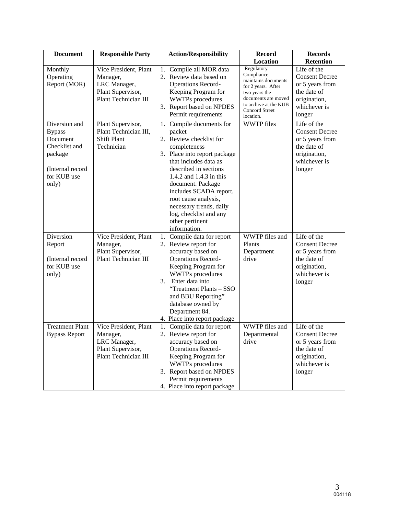| <b>Document</b>                                                                                                    | <b>Responsible Party</b>                                                                       | <b>Action/Responsibility</b>                                                                                                                                                                                                                                                                                                                              | <b>Record</b>                                                                                                                                                         | <b>Records</b>                                                                                                   |  |
|--------------------------------------------------------------------------------------------------------------------|------------------------------------------------------------------------------------------------|-----------------------------------------------------------------------------------------------------------------------------------------------------------------------------------------------------------------------------------------------------------------------------------------------------------------------------------------------------------|-----------------------------------------------------------------------------------------------------------------------------------------------------------------------|------------------------------------------------------------------------------------------------------------------|--|
|                                                                                                                    |                                                                                                |                                                                                                                                                                                                                                                                                                                                                           | Location                                                                                                                                                              | <b>Retention</b>                                                                                                 |  |
| Monthly<br>Operating<br>Report (MOR)                                                                               | Vice President, Plant<br>Manager,<br>LRC Manager,<br>Plant Supervisor,<br>Plant Technician III | 1. Compile all MOR data<br>2. Review data based on<br><b>Operations Record-</b><br>Keeping Program for<br><b>WWTPs</b> procedures<br>3. Report based on NPDES<br>Permit requirements                                                                                                                                                                      | Regulatory<br>Compliance<br>maintains documents<br>for 2 years. After<br>two years the<br>documents are moved<br>to archive at the KUB<br>Concord Street<br>location. | Life of the<br><b>Consent Decree</b><br>or 5 years from<br>the date of<br>origination,<br>whichever is<br>longer |  |
| Diversion and<br><b>Bypass</b><br>Document<br>Checklist and<br>package<br>(Internal record<br>for KUB use<br>only) | Plant Supervisor,<br>Plant Technician III,<br><b>Shift Plant</b><br>Technician                 | 1. Compile documents for<br>packet<br>2. Review checklist for<br>completeness<br>3. Place into report package<br>that includes data as<br>described in sections<br>1.4.2 and 1.4.3 in this<br>document. Package<br>includes SCADA report,<br>root cause analysis,<br>necessary trends, daily<br>log, checklist and any<br>other pertinent<br>information. | <b>WWTP</b> files                                                                                                                                                     | Life of the<br><b>Consent Decree</b><br>or 5 years from<br>the date of<br>origination,<br>whichever is<br>longer |  |
| Diversion<br>Report<br>(Internal record<br>for KUB use<br>only)                                                    | Vice President, Plant<br>Manager,<br>Plant Supervisor,<br>Plant Technician III                 | 1. Compile data for report<br>2. Review report for<br>accuracy based on<br><b>Operations Record-</b><br>Keeping Program for<br><b>WWTPs</b> procedures<br>3.<br>Enter data into<br>"Treatment Plants - SSO<br>and BBU Reporting"<br>database owned by<br>Department 84.<br>4. Place into report package                                                   | WWTP files and<br>Plants<br>Department<br>drive                                                                                                                       | Life of the<br><b>Consent Decree</b><br>or 5 years from<br>the date of<br>origination,<br>whichever is<br>longer |  |
| <b>Treatment Plant</b><br><b>Bypass Report</b>                                                                     | Vice President, Plant<br>Manager,<br>LRC Manager,<br>Plant Supervisor,<br>Plant Technician III | Compile data for report<br>1.<br>2. Review report for<br>accuracy based on<br><b>Operations Record-</b><br>Keeping Program for<br><b>WWTPs</b> procedures<br>3. Report based on NPDES<br>Permit requirements<br>4. Place into report package                                                                                                              | WWTP files and<br>Departmental<br>drive                                                                                                                               | Life of the<br><b>Consent Decree</b><br>or 5 years from<br>the date of<br>origination,<br>whichever is<br>longer |  |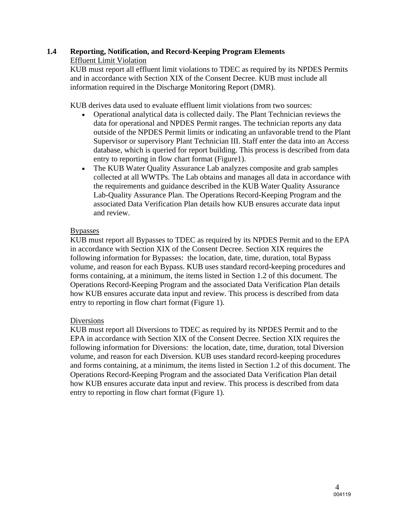#### **1.4 Reporting, Notification, and Record-Keeping Program Elements**  Effluent Limit Violation

KUB must report all effluent limit violations to TDEC as required by its NPDES Permits and in accordance with Section XIX of the Consent Decree. KUB must include all information required in the Discharge Monitoring Report (DMR).

KUB derives data used to evaluate effluent limit violations from two sources:

- Operational analytical data is collected daily. The Plant Technician reviews the data for operational and NPDES Permit ranges. The technician reports any data outside of the NPDES Permit limits or indicating an unfavorable trend to the Plant Supervisor or supervisory Plant Technician III. Staff enter the data into an Access database, which is queried for report building. This process is described from data entry to reporting in flow chart format (Figure1).
- The KUB Water Quality Assurance Lab analyzes composite and grab samples collected at all WWTPs. The Lab obtains and manages all data in accordance with the requirements and guidance described in the KUB Water Quality Assurance Lab-Quality Assurance Plan. The Operations Record-Keeping Program and the associated Data Verification Plan details how KUB ensures accurate data input and review.

#### Bypasses

KUB must report all Bypasses to TDEC as required by its NPDES Permit and to the EPA in accordance with Section XIX of the Consent Decree. Section XIX requires the following information for Bypasses: the location, date, time, duration, total Bypass volume, and reason for each Bypass. KUB uses standard record-keeping procedures and forms containing, at a minimum, the items listed in Section 1.2 of this document. The Operations Record-Keeping Program and the associated Data Verification Plan details how KUB ensures accurate data input and review. This process is described from data entry to reporting in flow chart format (Figure 1).

#### Diversions

KUB must report all Diversions to TDEC as required by its NPDES Permit and to the EPA in accordance with Section XIX of the Consent Decree. Section XIX requires the following information for Diversions: the location, date, time, duration, total Diversion volume, and reason for each Diversion. KUB uses standard record-keeping procedures and forms containing, at a minimum, the items listed in Section 1.2 of this document. The Operations Record-Keeping Program and the associated Data Verification Plan detail how KUB ensures accurate data input and review. This process is described from data entry to reporting in flow chart format (Figure 1).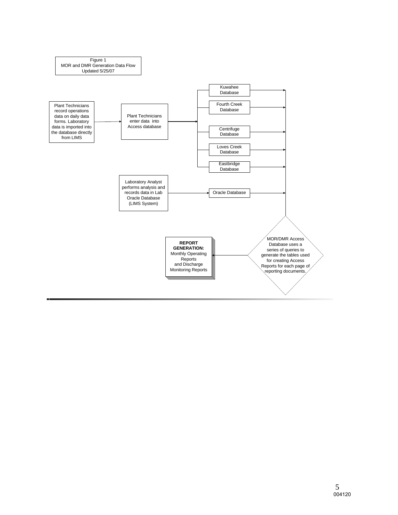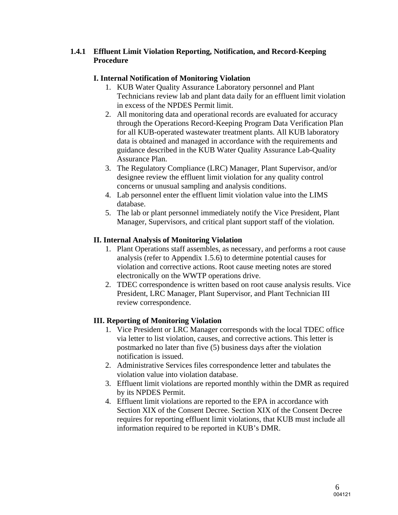#### **1.4.1 Effluent Limit Violation Reporting, Notification, and Record-Keeping Procedure**

#### **I. Internal Notification of Monitoring Violation**

- 1. KUB Water Quality Assurance Laboratory personnel and Plant Technicians review lab and plant data daily for an effluent limit violation in excess of the NPDES Permit limit.
- 2. All monitoring data and operational records are evaluated for accuracy through the Operations Record-Keeping Program Data Verification Plan for all KUB-operated wastewater treatment plants. All KUB laboratory data is obtained and managed in accordance with the requirements and guidance described in the KUB Water Quality Assurance Lab-Quality Assurance Plan.
- 3. The Regulatory Compliance (LRC) Manager, Plant Supervisor, and/or designee review the effluent limit violation for any quality control concerns or unusual sampling and analysis conditions.
- 4. Lab personnel enter the effluent limit violation value into the LIMS database.
- 5. The lab or plant personnel immediately notify the Vice President, Plant Manager, Supervisors, and critical plant support staff of the violation.

### **II. Internal Analysis of Monitoring Violation**

- 1. Plant Operations staff assembles, as necessary, and performs a root cause analysis (refer to Appendix 1.5.6) to determine potential causes for violation and corrective actions. Root cause meeting notes are stored electronically on the WWTP operations drive.
- 2. TDEC correspondence is written based on root cause analysis results. Vice President, LRC Manager, Plant Supervisor, and Plant Technician III review correspondence.

## **III. Reporting of Monitoring Violation**

- 1. Vice President or LRC Manager corresponds with the local TDEC office via letter to list violation, causes, and corrective actions. This letter is postmarked no later than five (5) business days after the violation notification is issued.
- 2. Administrative Services files correspondence letter and tabulates the violation value into violation database.
- 3. Effluent limit violations are reported monthly within the DMR as required by its NPDES Permit.
- 4. Effluent limit violations are reported to the EPA in accordance with Section XIX of the Consent Decree. Section XIX of the Consent Decree requires for reporting effluent limit violations, that KUB must include all information required to be reported in KUB's DMR.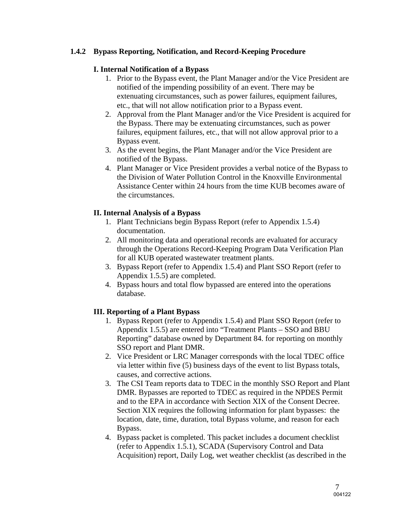#### **1.4.2 Bypass Reporting, Notification, and Record-Keeping Procedure**

#### **I. Internal Notification of a Bypass**

- 1. Prior to the Bypass event, the Plant Manager and/or the Vice President are notified of the impending possibility of an event. There may be extenuating circumstances, such as power failures, equipment failures, etc., that will not allow notification prior to a Bypass event.
- 2. Approval from the Plant Manager and/or the Vice President is acquired for the Bypass. There may be extenuating circumstances, such as power failures, equipment failures, etc., that will not allow approval prior to a Bypass event.
- 3. As the event begins, the Plant Manager and/or the Vice President are notified of the Bypass.
- 4. Plant Manager or Vice President provides a verbal notice of the Bypass to the Division of Water Pollution Control in the Knoxville Environmental Assistance Center within 24 hours from the time KUB becomes aware of the circumstances.

#### **II. Internal Analysis of a Bypass**

- 1. Plant Technicians begin Bypass Report (refer to Appendix 1.5.4) documentation.
- 2. All monitoring data and operational records are evaluated for accuracy through the Operations Record-Keeping Program Data Verification Plan for all KUB operated wastewater treatment plants.
- 3. Bypass Report (refer to Appendix 1.5.4) and Plant SSO Report (refer to Appendix 1.5.5) are completed.
- 4. Bypass hours and total flow bypassed are entered into the operations database.

#### **III. Reporting of a Plant Bypass**

- 1. Bypass Report (refer to Appendix 1.5.4) and Plant SSO Report (refer to Appendix 1.5.5) are entered into "Treatment Plants – SSO and BBU Reporting" database owned by Department 84. for reporting on monthly SSO report and Plant DMR.
- 2. Vice President or LRC Manager corresponds with the local TDEC office via letter within five (5) business days of the event to list Bypass totals, causes, and corrective actions.
- 3. The CSI Team reports data to TDEC in the monthly SSO Report and Plant DMR. Bypasses are reported to TDEC as required in the NPDES Permit and to the EPA in accordance with Section XIX of the Consent Decree. Section XIX requires the following information for plant bypasses: the location, date, time, duration, total Bypass volume, and reason for each Bypass.
- 4. Bypass packet is completed. This packet includes a document checklist (refer to Appendix 1.5.1), SCADA (Supervisory Control and Data Acquisition) report, Daily Log, wet weather checklist (as described in the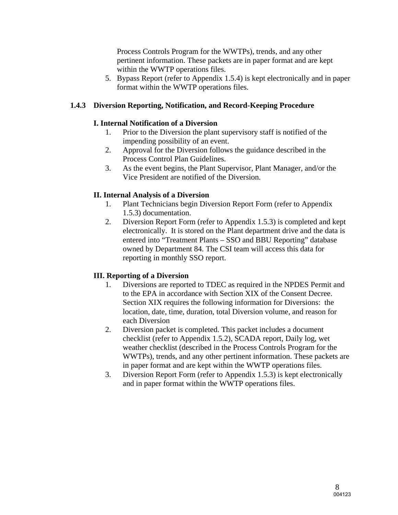Process Controls Program for the WWTPs), trends, and any other pertinent information. These packets are in paper format and are kept within the WWTP operations files.

5. Bypass Report (refer to Appendix 1.5.4) is kept electronically and in paper format within the WWTP operations files.

#### **1.4.3 Diversion Reporting, Notification, and Record-Keeping Procedure**

#### **I. Internal Notification of a Diversion**

- 1. Prior to the Diversion the plant supervisory staff is notified of the impending possibility of an event.
- 2. Approval for the Diversion follows the guidance described in the Process Control Plan Guidelines.
- 3. As the event begins, the Plant Supervisor, Plant Manager, and/or the Vice President are notified of the Diversion.

#### **II. Internal Analysis of a Diversion**

- 1. Plant Technicians begin Diversion Report Form (refer to Appendix 1.5.3) documentation.
- 2. Diversion Report Form (refer to Appendix 1.5.3) is completed and kept electronically. It is stored on the Plant department drive and the data is entered into "Treatment Plants – SSO and BBU Reporting" database owned by Department 84. The CSI team will access this data for reporting in monthly SSO report.

#### **III. Reporting of a Diversion**

- 1. Diversions are reported to TDEC as required in the NPDES Permit and to the EPA in accordance with Section XIX of the Consent Decree. Section XIX requires the following information for Diversions: the location, date, time, duration, total Diversion volume, and reason for each Diversion
- 2. Diversion packet is completed. This packet includes a document checklist (refer to Appendix 1.5.2), SCADA report, Daily log, wet weather checklist (described in the Process Controls Program for the WWTPs), trends, and any other pertinent information. These packets are in paper format and are kept within the WWTP operations files.
- 3. Diversion Report Form (refer to Appendix 1.5.3) is kept electronically and in paper format within the WWTP operations files.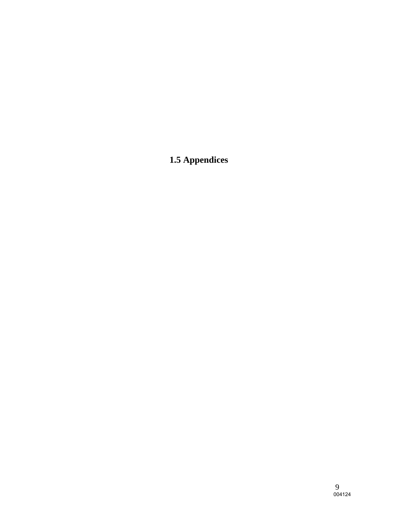# **1.5 Appendices**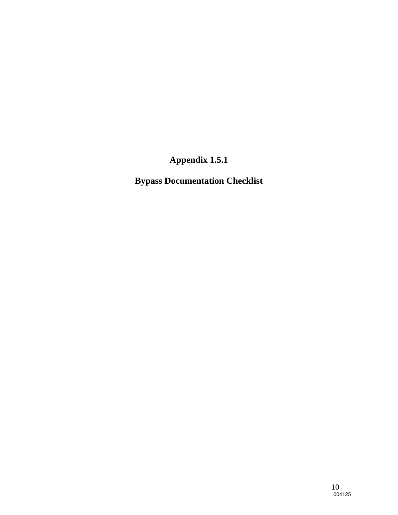**Bypass Documentation Checklist**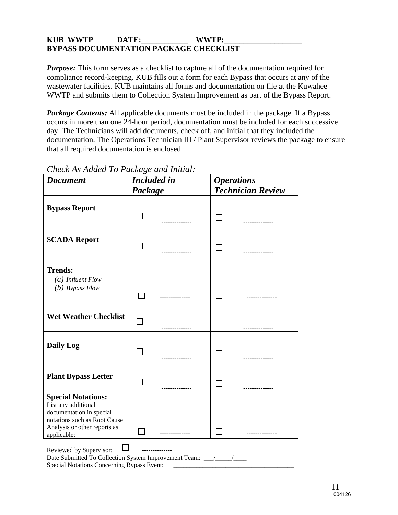#### KUB WWTP DATE: WWTP: **BYPASS DOCUMENTATION PACKAGE CHECKLIST**

*Purpose:* This form serves as a checklist to capture all of the documentation required for compliance record-keeping. KUB fills out a form for each Bypass that occurs at any of the wastewater facilities. KUB maintains all forms and documentation on file at the Kuwahee WWTP and submits them to Collection System Improvement as part of the Bypass Report.

*Package Contents:* All applicable documents must be included in the package. If a Bypass occurs in more than one 24-hour period, documentation must be included for each successive day. The Technicians will add documents, check off, and initial that they included the documentation. The Operations Technician III / Plant Supervisor reviews the package to ensure that all required documentation is enclosed.

| <b>Document</b>                                                                                                                                             | Package | <b>Included</b> in |  | <b>Operations</b><br><b>Technician Review</b> |  |
|-------------------------------------------------------------------------------------------------------------------------------------------------------------|---------|--------------------|--|-----------------------------------------------|--|
| <b>Bypass Report</b>                                                                                                                                        |         |                    |  |                                               |  |
| <b>SCADA Report</b>                                                                                                                                         |         |                    |  |                                               |  |
| <b>Trends:</b><br>$(a)$ Influent Flow<br>$(b)$ Bypass Flow                                                                                                  |         |                    |  |                                               |  |
| <b>Wet Weather Checklist</b>                                                                                                                                |         |                    |  |                                               |  |
| <b>Daily Log</b>                                                                                                                                            |         |                    |  | -----------                                   |  |
| <b>Plant Bypass Letter</b>                                                                                                                                  |         |                    |  |                                               |  |
| <b>Special Notations:</b><br>List any additional<br>documentation in special<br>notations such as Root Cause<br>Analysis or other reports as<br>applicable: |         |                    |  |                                               |  |
| Reviewed by Supervisor:<br>Special Notations Concerning Bypass Event:                                                                                       |         |                    |  |                                               |  |

## *Check As Added To Package and Initial:*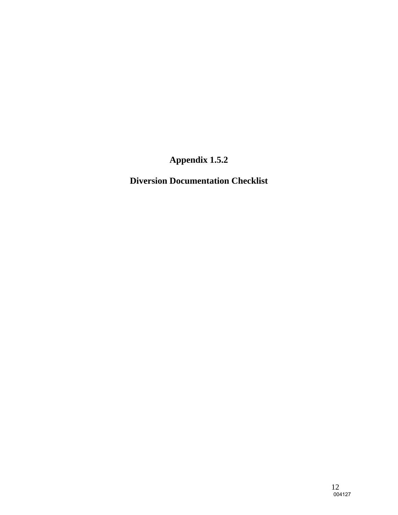**Diversion Documentation Checklist**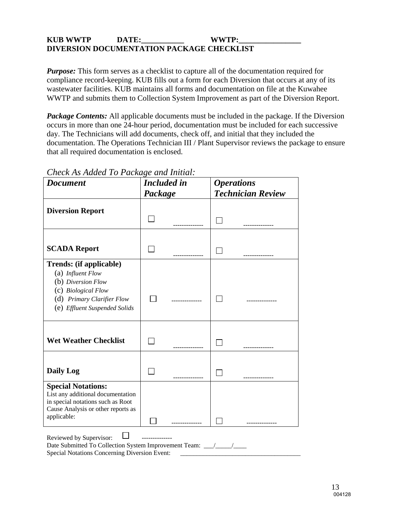#### KUB WWTP DATE: WWTP: **DIVERSION DOCUMENTATION PACKAGE CHECKLIST**

*Purpose:* This form serves as a checklist to capture all of the documentation required for compliance record-keeping. KUB fills out a form for each Diversion that occurs at any of its wastewater facilities. KUB maintains all forms and documentation on file at the Kuwahee WWTP and submits them to Collection System Improvement as part of the Diversion Report.

*Package Contents:* All applicable documents must be included in the package. If the Diversion occurs in more than one 24-hour period, documentation must be included for each successive day. The Technicians will add documents, check off, and initial that they included the documentation. The Operations Technician III / Plant Supervisor reviews the package to ensure that all required documentation is enclosed.

| <b>Document</b>                                                                                                                                                 | <b>Included</b> in |  | <b>Operations</b>          |                          |
|-----------------------------------------------------------------------------------------------------------------------------------------------------------------|--------------------|--|----------------------------|--------------------------|
|                                                                                                                                                                 | Package            |  |                            | <b>Technician Review</b> |
| <b>Diversion Report</b>                                                                                                                                         |                    |  | $\mathcal{L}^{\text{max}}$ | -----------              |
| <b>SCADA Report</b>                                                                                                                                             |                    |  |                            | .                        |
| <b>Trends: (if applicable)</b><br>(a) Influent Flow<br>(b) Diversion Flow<br>(c) Biological Flow<br>(d) Primary Clarifier Flow<br>(e) Effluent Suspended Solids |                    |  |                            |                          |
| <b>Wet Weather Checklist</b>                                                                                                                                    |                    |  |                            |                          |
| <b>Daily Log</b>                                                                                                                                                |                    |  |                            | ----------               |
| <b>Special Notations:</b><br>List any additional documentation<br>in special notations such as Root<br>Cause Analysis or other reports as<br>applicable:        |                    |  |                            |                          |

Date Submitted To Collection System Improvement Team: \_\_\_/\_\_\_\_/\_\_\_\_\_

Special Notations Concerning Diversion Event:

### *Check As Added To Package and Initial:*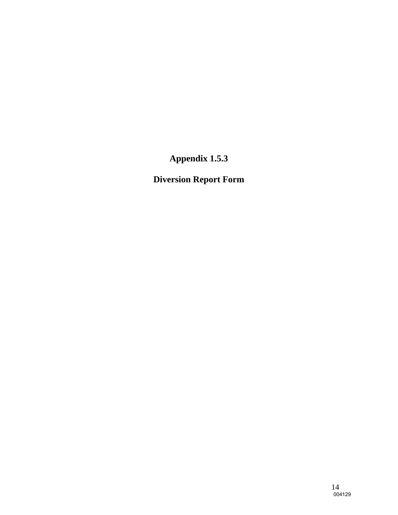**Diversion Report Form**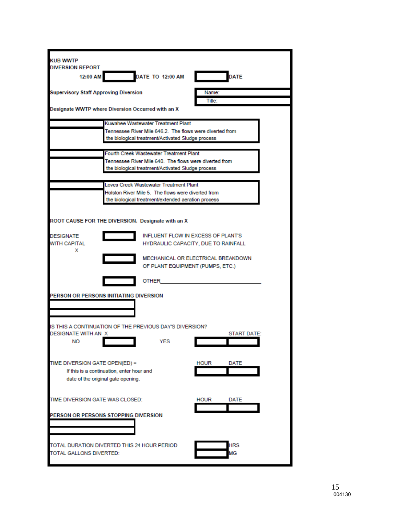| <b>KUB WWTP</b>                                         |                                           |                                                                                                               |             |                    |  |
|---------------------------------------------------------|-------------------------------------------|---------------------------------------------------------------------------------------------------------------|-------------|--------------------|--|
| <b>DIVERSION REPORT</b>                                 |                                           |                                                                                                               |             |                    |  |
| 12:00 AM                                                |                                           | <b>DATE TO 12:00 AM</b>                                                                                       |             | <b>DATE</b>        |  |
|                                                         |                                           |                                                                                                               | Name:       |                    |  |
| <b>Supervisory Staff Approving Diversion</b>            |                                           |                                                                                                               | Title:      |                    |  |
| Designate WWTP where Diversion Occurred with an X       |                                           |                                                                                                               |             |                    |  |
|                                                         |                                           |                                                                                                               |             |                    |  |
|                                                         |                                           | Kuwahee Wastewater Treatment Plant                                                                            |             |                    |  |
|                                                         |                                           | Tennessee River Mile 646.2. The flows were diverted from<br>the biological treatment/Activated Sludge process |             |                    |  |
|                                                         |                                           |                                                                                                               |             |                    |  |
|                                                         |                                           | Fourth Creek Wastewater Treatment Plant                                                                       |             |                    |  |
|                                                         |                                           | Tennessee River Mile 640. The flows were diverted from                                                        |             |                    |  |
|                                                         |                                           | the biological treatment/Activated Sludge process                                                             |             |                    |  |
|                                                         |                                           |                                                                                                               |             |                    |  |
|                                                         |                                           | Loves Creek Wastewater Treatment Plant<br>Holston River Mile 5. The flows were diverted from                  |             |                    |  |
|                                                         |                                           | the biological treatment/extended aeration process                                                            |             |                    |  |
|                                                         |                                           |                                                                                                               |             |                    |  |
|                                                         |                                           |                                                                                                               |             |                    |  |
| ROOT CAUSE FOR THE DIVERSION. Designate with an X       |                                           |                                                                                                               |             |                    |  |
| <b>DESIGNATE</b>                                        |                                           | <b>INFLUENT FLOW IN EXCESS OF PLANT'S</b>                                                                     |             |                    |  |
| <b>WITH CAPITAL</b>                                     |                                           | HYDRAULIC CAPACITY, DUE TO RAINFALL                                                                           |             |                    |  |
| х                                                       |                                           |                                                                                                               |             |                    |  |
|                                                         |                                           | MECHANICAL OR ELECTRICAL BREAKDOWN<br>OF PLANT EQUIPMENT (PUMPS, ETC.)                                        |             |                    |  |
|                                                         |                                           |                                                                                                               |             |                    |  |
|                                                         |                                           | <b>OTHER</b>                                                                                                  |             |                    |  |
|                                                         |                                           |                                                                                                               |             |                    |  |
| PERSON OR PERSONS INITIATING DIVERSION                  |                                           |                                                                                                               |             |                    |  |
|                                                         |                                           |                                                                                                               |             |                    |  |
|                                                         |                                           |                                                                                                               |             |                    |  |
| IS THIS A CONTINUATION OF THE PREVIOUS DAY'S DIVERSION? |                                           |                                                                                                               |             |                    |  |
| DESIGNATE WITH AN X                                     |                                           |                                                                                                               |             | <b>START DATE:</b> |  |
| NO                                                      |                                           | YES                                                                                                           |             |                    |  |
|                                                         |                                           |                                                                                                               |             |                    |  |
| TIME DIVERSION GATE OPEN(ED) =                          |                                           |                                                                                                               | <b>HOUR</b> | DATE               |  |
|                                                         | If this is a continuation, enter hour and |                                                                                                               |             |                    |  |
|                                                         | date of the original gate opening.        |                                                                                                               |             |                    |  |
|                                                         |                                           |                                                                                                               |             |                    |  |
| TIME DIVERSION GATE WAS CLOSED:                         |                                           |                                                                                                               | <b>HOUR</b> | DATE               |  |
|                                                         |                                           |                                                                                                               |             |                    |  |
| PERSON OR PERSONS STOPPING DIVERSION                    |                                           |                                                                                                               |             |                    |  |
|                                                         |                                           |                                                                                                               |             |                    |  |
|                                                         |                                           |                                                                                                               |             |                    |  |
| TOTAL DURATION DIVERTED THIS 24 HOUR PERIOD             |                                           |                                                                                                               |             | HRS                |  |
| TOTAL GALLONS DIVERTED:                                 |                                           |                                                                                                               |             | МG                 |  |
|                                                         |                                           |                                                                                                               |             |                    |  |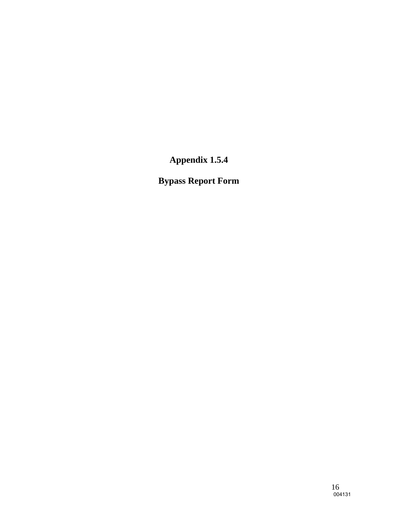**Bypass Report Form**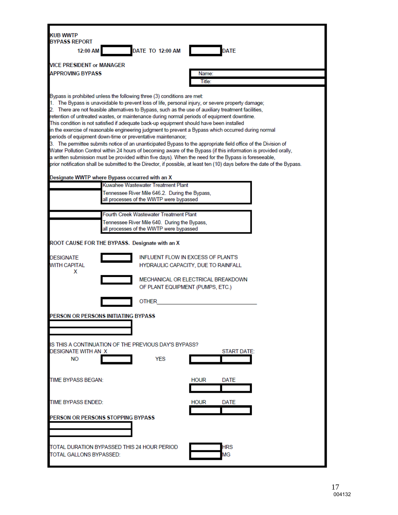| <b>KUB WWTP</b>                         |                                                                                                                                                                                                                                                                                                                                                                                                                                                                                                                                                                                                                                                      |
|-----------------------------------------|------------------------------------------------------------------------------------------------------------------------------------------------------------------------------------------------------------------------------------------------------------------------------------------------------------------------------------------------------------------------------------------------------------------------------------------------------------------------------------------------------------------------------------------------------------------------------------------------------------------------------------------------------|
| <b>BYPASS REPORT</b><br>12:00 AM        | <b>DATE TO 12:00 AM</b><br>DATE                                                                                                                                                                                                                                                                                                                                                                                                                                                                                                                                                                                                                      |
|                                         |                                                                                                                                                                                                                                                                                                                                                                                                                                                                                                                                                                                                                                                      |
| <b>VICE PRESIDENT or MANAGER</b>        |                                                                                                                                                                                                                                                                                                                                                                                                                                                                                                                                                                                                                                                      |
| <b>APPROVING BYPASS</b>                 | Name:<br>Title:                                                                                                                                                                                                                                                                                                                                                                                                                                                                                                                                                                                                                                      |
|                                         |                                                                                                                                                                                                                                                                                                                                                                                                                                                                                                                                                                                                                                                      |
|                                         | Bypass is prohibited unless the following three (3) conditions are met:<br>1. The Bypass is unavoidable to prevent loss of life, personal injury, or severe property damage;<br>2. There are not feasible alternatives to Bypass, such as the use of auxiliary treatment facilities,<br>retention of untreated wastes, or maintenance during normal periods of equipment downtime.<br>This condition is not satisfied if adequate back-up equipment should have been installed<br>in the exercise of reasonable engineering judgment to prevent a Bypass which occurred during normal<br>periods of equipment down-time or preventative maintenance; |
|                                         | 3. The permittee submits notice of an unanticipated Bypass to the appropriate field office of the Division of                                                                                                                                                                                                                                                                                                                                                                                                                                                                                                                                        |
|                                         | Water Pollution Control within 24 hours of becoming aware of the Bypass (if this information is provided orally,<br>a written submission must be provided within five days). When the need for the Bypass is foreseeable,                                                                                                                                                                                                                                                                                                                                                                                                                            |
|                                         | prior notification shall be submitted to the Director, if possible, at least ten (10) days before the date of the Bypass.                                                                                                                                                                                                                                                                                                                                                                                                                                                                                                                            |
|                                         | Designate WWTP where Bypass occurred with an X                                                                                                                                                                                                                                                                                                                                                                                                                                                                                                                                                                                                       |
|                                         | Kuwahee Wastewater Treatment Plant                                                                                                                                                                                                                                                                                                                                                                                                                                                                                                                                                                                                                   |
|                                         | Tennessee River Mile 646.2. During the Bypass,<br>all processes of the WWTP were bypassed                                                                                                                                                                                                                                                                                                                                                                                                                                                                                                                                                            |
|                                         |                                                                                                                                                                                                                                                                                                                                                                                                                                                                                                                                                                                                                                                      |
|                                         | Fourth Creek Wastewater Treatment Plant                                                                                                                                                                                                                                                                                                                                                                                                                                                                                                                                                                                                              |
|                                         | Tennessee River Mile 640. During the Bypass,<br>all processes of the WWTP were bypassed                                                                                                                                                                                                                                                                                                                                                                                                                                                                                                                                                              |
|                                         |                                                                                                                                                                                                                                                                                                                                                                                                                                                                                                                                                                                                                                                      |
|                                         | ROOT CAUSE FOR THE BYPASS. Designate with an X                                                                                                                                                                                                                                                                                                                                                                                                                                                                                                                                                                                                       |
| <b>DESIGNATE</b><br><b>WITH CAPITAL</b> | INFLUENT FLOW IN EXCESS OF PLANT'S<br>HYDRAULIC CAPACITY, DUE TO RAINFALL                                                                                                                                                                                                                                                                                                                                                                                                                                                                                                                                                                            |
| x                                       | MECHANICAL OR ELECTRICAL BREAKDOWN<br>OF PLANT EQUIPMENT (PUMPS, ETC.)                                                                                                                                                                                                                                                                                                                                                                                                                                                                                                                                                                               |
|                                         | OTHER                                                                                                                                                                                                                                                                                                                                                                                                                                                                                                                                                                                                                                                |
|                                         | PERSON OR PERSONS INITIATING BYPASS                                                                                                                                                                                                                                                                                                                                                                                                                                                                                                                                                                                                                  |
| DESIGNATE WITH AN X<br>NO.              | IS THIS A CONTINUATION OF THE PREVIOUS DAY'S BYPASS?<br><b>START DATE:</b><br><b>YES</b>                                                                                                                                                                                                                                                                                                                                                                                                                                                                                                                                                             |
| TIME BYPASS BEGAN:                      | <b>HOUR</b><br>DATE                                                                                                                                                                                                                                                                                                                                                                                                                                                                                                                                                                                                                                  |
| <b>TIME BYPASS ENDED:</b>               | <b>HOUR</b><br>DATE                                                                                                                                                                                                                                                                                                                                                                                                                                                                                                                                                                                                                                  |
|                                         | PERSON OR PERSONS STOPPING BYPASS                                                                                                                                                                                                                                                                                                                                                                                                                                                                                                                                                                                                                    |
| TOTAL GALLONS BYPASSED:                 | TOTAL DURATION BYPASSED THIS 24 HOUR PERIOD<br>HRS<br>МG                                                                                                                                                                                                                                                                                                                                                                                                                                                                                                                                                                                             |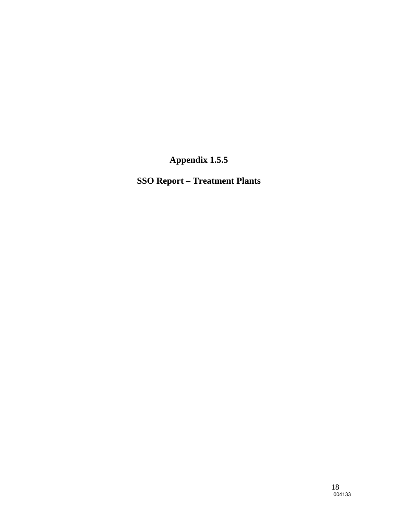**SSO Report – Treatment Plants**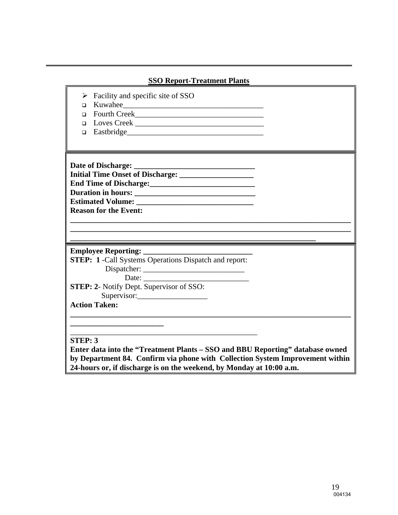| Facility and specific site of SSO<br>≻<br>$\Box$<br>$\Box$<br>Loves Creek<br>$\Box$<br>$\Box$                                                                                                                                                                                                                                                                                                                                                                                                                                                                           |  |
|-------------------------------------------------------------------------------------------------------------------------------------------------------------------------------------------------------------------------------------------------------------------------------------------------------------------------------------------------------------------------------------------------------------------------------------------------------------------------------------------------------------------------------------------------------------------------|--|
| Duration in hours:<br><b>Reason for the Event:</b>                                                                                                                                                                                                                                                                                                                                                                                                                                                                                                                      |  |
| <b>STEP: 1</b> -Call Systems Operations Dispatch and report:<br>Date: $\frac{1}{\sqrt{1-\frac{1}{2}}\sqrt{1-\frac{1}{2}}\sqrt{1-\frac{1}{2}}\sqrt{1-\frac{1}{2}}\sqrt{1-\frac{1}{2}}\sqrt{1-\frac{1}{2}}\sqrt{1-\frac{1}{2}}\sqrt{1-\frac{1}{2}}\sqrt{1-\frac{1}{2}}\sqrt{1-\frac{1}{2}}\sqrt{1-\frac{1}{2}}\sqrt{1-\frac{1}{2}}\sqrt{1-\frac{1}{2}}\sqrt{1-\frac{1}{2}}\sqrt{1-\frac{1}{2}}\sqrt{1-\frac{1}{2}}\sqrt{1-\frac{1}{2}}\sqrt{1-\frac{1}{2}}\sqrt{1-\frac{1}{2}}$<br><b>STEP: 2-</b> Notify Dept. Supervisor of SSO:<br>Supervisor:<br><b>Action Taken:</b> |  |
| <b>STEP: 3</b><br>Enter data into the "Treatment Plants – SSO and BBU Reporting" database owned<br>by Department 84. Confirm via phone with Collection System Improvement within<br>24-hours or, if discharge is on the weekend, by Monday at 10:00 a.m.                                                                                                                                                                                                                                                                                                                |  |

**SSO Report-Treatment Plants**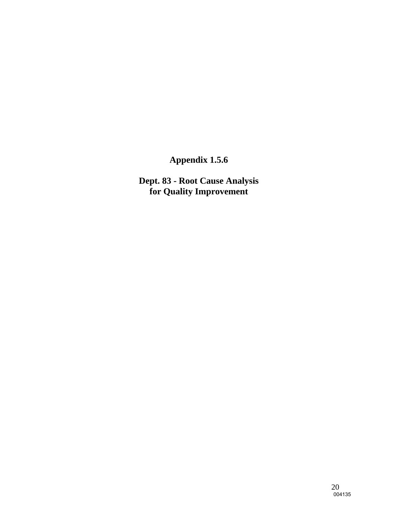**Dept. 83 - Root Cause Analysis for Quality Improvement**